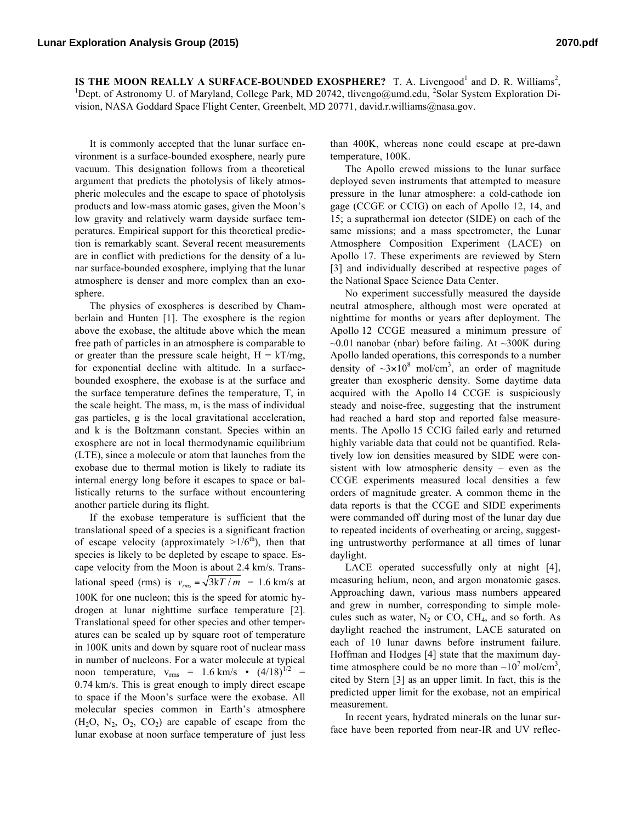**IS THE MOON REALLY A SURFACE-BOUNDED EXOSPHERE?** T. A. Livengood<sup>1</sup> and D. R. Williams<sup>2</sup>,  $\frac{1 \text{Port of } \text{Astronomi } \text{U of } \text{Morphi}}{2 \text{Morphi } \text{Astronomi } \text{U of } \text{Morphi } \text{Astronomi } \text{Astronomi } \text{Astronomi } \text{Astronomi } \text{Astronomi } \text{Astronomi } \text{Astronomi } \text{Astronomi } \text{$ Dept. of Astronomy U. of Maryland, College Park, MD 20742, tlivengo@umd.edu, <sup>2</sup>Solar System Exploration Division, NASA Goddard Space Flight Center, Greenbelt, MD 20771, david.r.williams@nasa.gov.

It is commonly accepted that the lunar surface environment is a surface-bounded exosphere, nearly pure vacuum. This designation follows from a theoretical argument that predicts the photolysis of likely atmospheric molecules and the escape to space of photolysis products and low-mass atomic gases, given the Moon's low gravity and relatively warm dayside surface temperatures. Empirical support for this theoretical prediction is remarkably scant. Several recent measurements are in conflict with predictions for the density of a lunar surface-bounded exosphere, implying that the lunar atmosphere is denser and more complex than an exosphere.

The physics of exospheres is described by Chamberlain and Hunten [1]. The exosphere is the region above the exobase, the altitude above which the mean free path of particles in an atmosphere is comparable to or greater than the pressure scale height,  $H = kT/mg$ , for exponential decline with altitude. In a surfacebounded exosphere, the exobase is at the surface and the surface temperature defines the temperature, T, in the scale height. The mass, m, is the mass of individual gas particles, g is the local gravitational acceleration, and k is the Boltzmann constant. Species within an exosphere are not in local thermodynamic equilibrium (LTE), since a molecule or atom that launches from the exobase due to thermal motion is likely to radiate its internal energy long before it escapes to space or ballistically returns to the surface without encountering another particle during its flight.

If the exobase temperature is sufficient that the translational speed of a species is a significant fraction of escape velocity (approximately  $>1/6^{th}$ ), then that species is likely to be depleted by escape to space. Escape velocity from the Moon is about 2.4 km/s. Translational speed (rms) is  $v_{rms} = \sqrt{3kT/m} = 1.6$  km/s at 100K for one nucleon; this is the speed for atomic hydrogen at lunar nighttime surface temperature [2]. Translational speed for other species and other temperatures can be scaled up by square root of temperature in 100K units and down by square root of nuclear mass in number of nucleons. For a water molecule at typical noon temperature,  $v_{\text{rms}}$  = 1.6 km/s  $\cdot$  (4/18)<sup>1/2</sup> = 0.74 km/s. This is great enough to imply direct escape to space if the Moon's surface were the exobase. All molecular species common in Earth's atmosphere  $(H_2O, N_2, O_2, CO_2)$  are capable of escape from the lunar exobase at noon surface temperature of just less

than 400K, whereas none could escape at pre-dawn temperature, 100K.

The Apollo crewed missions to the lunar surface deployed seven instruments that attempted to measure pressure in the lunar atmosphere: a cold-cathode ion gage (CCGE or CCIG) on each of Apollo 12, 14, and 15; a suprathermal ion detector (SIDE) on each of the same missions; and a mass spectrometer, the Lunar Atmosphere Composition Experiment (LACE) on Apollo 17. These experiments are reviewed by Stern [3] and individually described at respective pages of the National Space Science Data Center.

No experiment successfully measured the dayside neutral atmosphere, although most were operated at nighttime for months or years after deployment. The Apollo 12 CCGE measured a minimum pressure of  $\sim$ 0.01 nanobar (nbar) before failing. At  $\sim$ 300K during Apollo landed operations, this corresponds to a number density of  $\sim 3 \times 10^8$  mol/cm<sup>3</sup>, an order of magnitude greater than exospheric density. Some daytime data acquired with the Apollo 14 CCGE is suspiciously steady and noise-free, suggesting that the instrument had reached a hard stop and reported false measurements. The Apollo 15 CCIG failed early and returned highly variable data that could not be quantified. Relatively low ion densities measured by SIDE were consistent with low atmospheric density – even as the CCGE experiments measured local densities a few orders of magnitude greater. A common theme in the data reports is that the CCGE and SIDE experiments were commanded off during most of the lunar day due to repeated incidents of overheating or arcing, suggesting untrustworthy performance at all times of lunar daylight.

LACE operated successfully only at night [4], measuring helium, neon, and argon monatomic gases. Approaching dawn, various mass numbers appeared and grew in number, corresponding to simple molecules such as water,  $N_2$  or CO, CH<sub>4</sub>, and so forth. As daylight reached the instrument, LACE saturated on each of 10 lunar dawns before instrument failure. Hoffman and Hodges [4] state that the maximum daytime atmosphere could be no more than  $\sim 10^7$  mol/cm<sup>3</sup>, cited by Stern [3] as an upper limit. In fact, this is the predicted upper limit for the exobase, not an empirical measurement.

In recent years, hydrated minerals on the lunar surface have been reported from near-IR and UV reflec